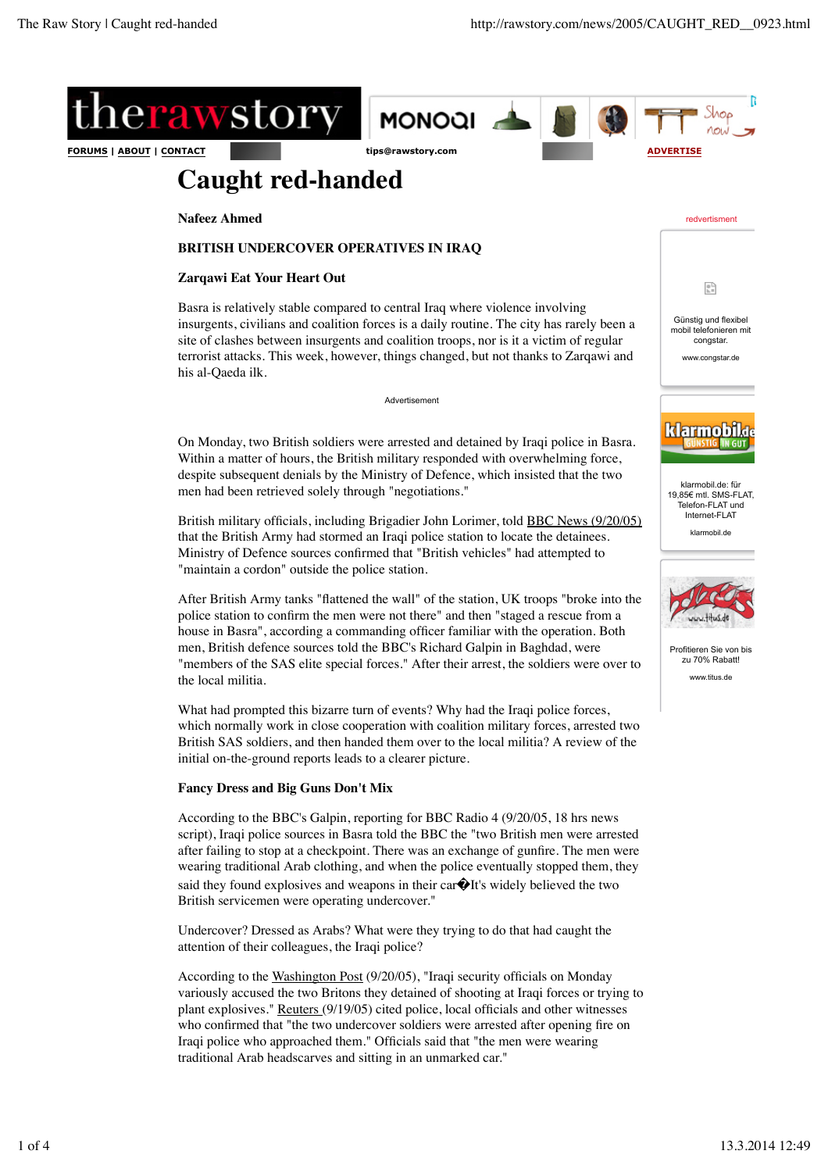

# **Caught red-handed**

**Nafeez Ahmed**

# **BRITISH UNDERCOVER OPERATIVES IN IRAQ**

### **Zarqawi Eat Your Heart Out**

Basra is relatively stable compared to central Iraq where violence involving insurgents, civilians and coalition forces is a daily routine. The city has rarely been a site of clashes between insurgents and coalition troops, nor is it a victim of regular terrorist attacks. This week, however, things changed, but not thanks to Zarqawi and his al-Qaeda ilk.

Advertisement

On Monday, two British soldiers were arrested and detained by Iraqi police in Basra. Within a matter of hours, the British military responded with overwhelming force, despite subsequent denials by the Ministry of Defence, which insisted that the two men had been retrieved solely through "negotiations."

British military officials, including Brigadier John Lorimer, told BBC News (9/20/05) that the British Army had stormed an Iraqi police station to locate the detainees. Ministry of Defence sources confirmed that "British vehicles" had attempted to "maintain a cordon" outside the police station.

After British Army tanks "flattened the wall" of the station, UK troops "broke into the police station to confirm the men were not there" and then "staged a rescue from a house in Basra", according a commanding officer familiar with the operation. Both men, British defence sources told the BBC's Richard Galpin in Baghdad, were "members of the SAS elite special forces." After their arrest, the soldiers were over to the local militia.

What had prompted this bizarre turn of events? Why had the Iraqi police forces, which normally work in close cooperation with coalition military forces, arrested two British SAS soldiers, and then handed them over to the local militia? A review of the initial on-the-ground reports leads to a clearer picture.

# **Fancy Dress and Big Guns Don't Mix**

According to the BBC's Galpin, reporting for BBC Radio 4 (9/20/05, 18 hrs news script), Iraqi police sources in Basra told the BBC the "two British men were arrested after failing to stop at a checkpoint. There was an exchange of gunfire. The men were wearing traditional Arab clothing, and when the police eventually stopped them, they said they found explosives and weapons in their car $\hat{\mathbf{\Theta}}$ It's widely believed the two British servicemen were operating undercover."

Undercover? Dressed as Arabs? What were they trying to do that had caught the attention of their colleagues, the Iraqi police?

According to the Washington Post (9/20/05), "Iraqi security officials on Monday variously accused the two Britons they detained of shooting at Iraqi forces or trying to plant explosives." Reuters (9/19/05) cited police, local officials and other witnesses who confirmed that "the two undercover soldiers were arrested after opening fire on Iraqi police who approached them." Officials said that "the men were wearing traditional Arab headscarves and sitting in an unmarked car."

redvertisment



klarmobil.de: für 19,85€ mtl. SMS-FLAT Telefon-FLAT und Internet-FLAT

klarmobil.de



Profitieren Sie von bis zu 70% Rabatt! www.titus.de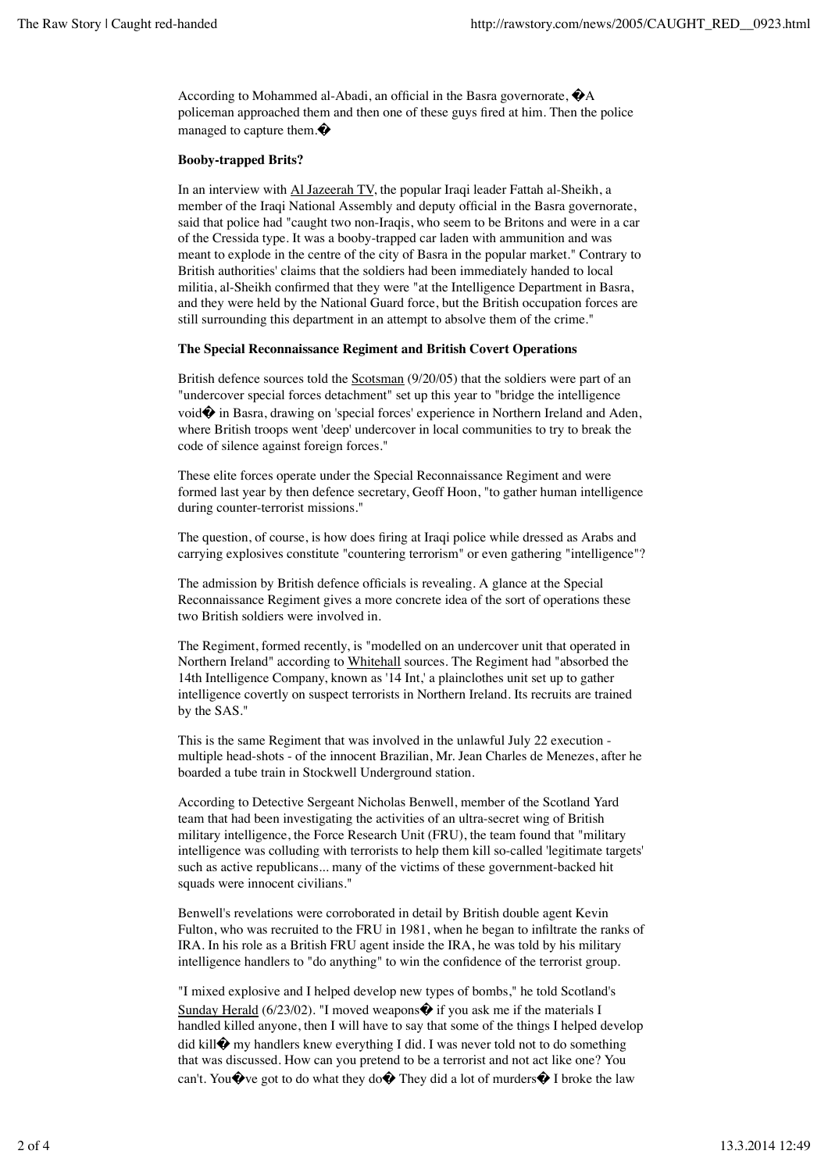According to Mohammed al-Abadi, an official in the Basra governorate, �A policeman approached them and then one of these guys fired at him. Then the police managed to capture them.�

#### **Booby-trapped Brits?**

In an interview with Al Jazeerah TV, the popular Iraqi leader Fattah al-Sheikh, a member of the Iraqi National Assembly and deputy official in the Basra governorate, said that police had "caught two non-Iraqis, who seem to be Britons and were in a car of the Cressida type. It was a booby-trapped car laden with ammunition and was meant to explode in the centre of the city of Basra in the popular market." Contrary to British authorities' claims that the soldiers had been immediately handed to local militia, al-Sheikh confirmed that they were "at the Intelligence Department in Basra, and they were held by the National Guard force, but the British occupation forces are still surrounding this department in an attempt to absolve them of the crime."

#### **The Special Reconnaissance Regiment and British Covert Operations**

British defence sources told the Scotsman (9/20/05) that the soldiers were part of an "undercover special forces detachment" set up this year to "bridge the intelligence void� in Basra, drawing on 'special forces' experience in Northern Ireland and Aden, where British troops went 'deep' undercover in local communities to try to break the code of silence against foreign forces."

These elite forces operate under the Special Reconnaissance Regiment and were formed last year by then defence secretary, Geoff Hoon, "to gather human intelligence during counter-terrorist missions."

The question, of course, is how does firing at Iraqi police while dressed as Arabs and carrying explosives constitute "countering terrorism" or even gathering "intelligence"?

The admission by British defence officials is revealing. A glance at the Special Reconnaissance Regiment gives a more concrete idea of the sort of operations these two British soldiers were involved in.

The Regiment, formed recently, is "modelled on an undercover unit that operated in Northern Ireland" according to Whitehall sources. The Regiment had "absorbed the 14th Intelligence Company, known as '14 Int,' a plainclothes unit set up to gather intelligence covertly on suspect terrorists in Northern Ireland. Its recruits are trained by the SAS."

This is the same Regiment that was involved in the unlawful July 22 execution multiple head-shots - of the innocent Brazilian, Mr. Jean Charles de Menezes, after he boarded a tube train in Stockwell Underground station.

According to Detective Sergeant Nicholas Benwell, member of the Scotland Yard team that had been investigating the activities of an ultra-secret wing of British military intelligence, the Force Research Unit (FRU), the team found that "military intelligence was colluding with terrorists to help them kill so-called 'legitimate targets' such as active republicans... many of the victims of these government-backed hit squads were innocent civilians."

Benwell's revelations were corroborated in detail by British double agent Kevin Fulton, who was recruited to the FRU in 1981, when he began to infiltrate the ranks of IRA. In his role as a British FRU agent inside the IRA, he was told by his military intelligence handlers to "do anything" to win the confidence of the terrorist group.

"I mixed explosive and I helped develop new types of bombs," he told Scotland's Sunday Herald (6/23/02). "I moved weapons $\hat{\mathbf{\diamond}}$  if you ask me if the materials I handled killed anyone, then I will have to say that some of the things I helped develop did kill $\hat{\mathbf{\Theta}}$  my handlers knew everything I did. I was never told not to do something that was discussed. How can you pretend to be a terrorist and not act like one? You can't. You $\hat{\mathbf{\Phi}}$  ve got to do what they do $\hat{\mathbf{\Phi}}$  They did a lot of murders $\hat{\mathbf{\Phi}}$  I broke the law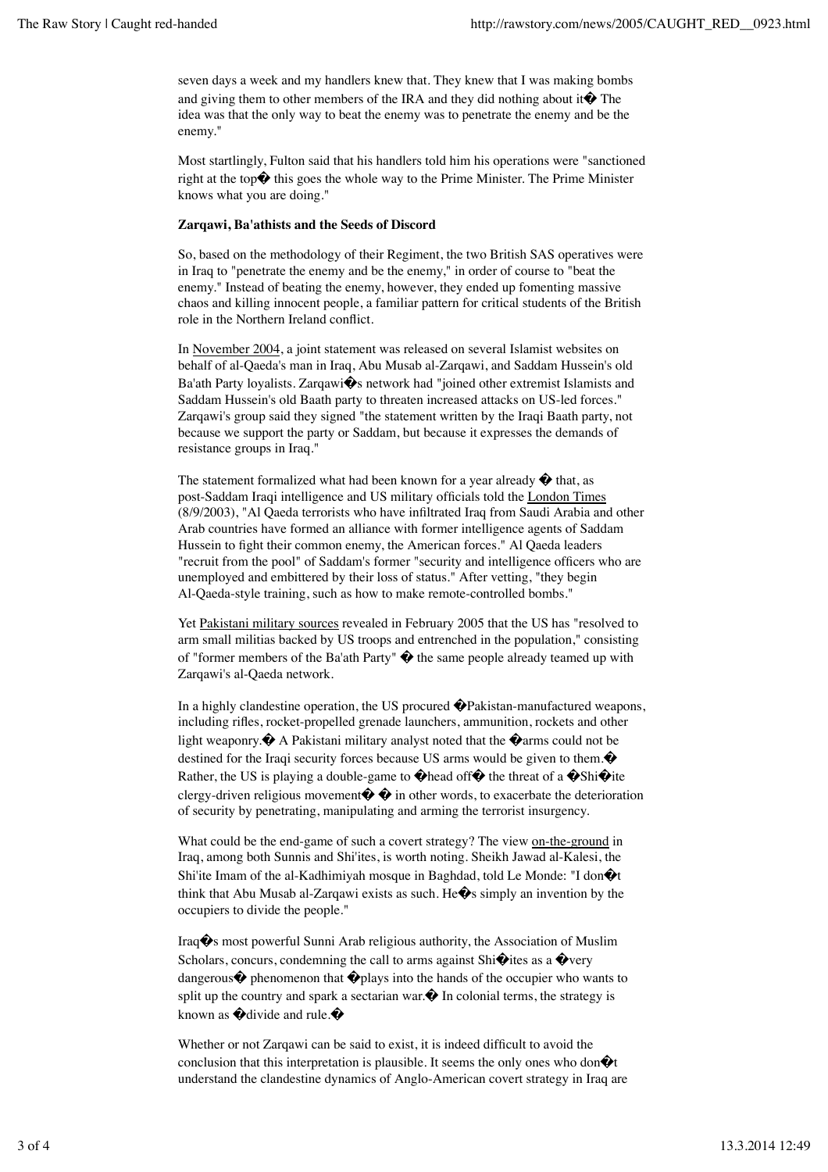seven days a week and my handlers knew that. They knew that I was making bombs and giving them to other members of the IRA and they did nothing about it  $\bigcirc$  The idea was that the only way to beat the enemy was to penetrate the enemy and be the enemy."

Most startlingly, Fulton said that his handlers told him his operations were "sanctioned right at the top $\bullet$  this goes the whole way to the Prime Minister. The Prime Minister knows what you are doing."

#### **Zarqawi, Ba'athists and the Seeds of Discord**

So, based on the methodology of their Regiment, the two British SAS operatives were in Iraq to "penetrate the enemy and be the enemy," in order of course to "beat the enemy." Instead of beating the enemy, however, they ended up fomenting massive chaos and killing innocent people, a familiar pattern for critical students of the British role in the Northern Ireland conflict.

In November 2004, a joint statement was released on several Islamist websites on behalf of al-Qaeda's man in Iraq, Abu Musab al-Zarqawi, and Saddam Hussein's old Ba'ath Party loyalists. Zarqawi�s network had "joined other extremist Islamists and Saddam Hussein's old Baath party to threaten increased attacks on US-led forces." Zarqawi's group said they signed "the statement written by the Iraqi Baath party, not because we support the party or Saddam, but because it expresses the demands of resistance groups in Iraq."

The statement formalized what had been known for a year already  $\hat{\mathbf{\diamond}}$  that, as post-Saddam Iraqi intelligence and US military officials told the London Times (8/9/2003), "Al Qaeda terrorists who have infiltrated Iraq from Saudi Arabia and other Arab countries have formed an alliance with former intelligence agents of Saddam Hussein to fight their common enemy, the American forces." Al Qaeda leaders "recruit from the pool" of Saddam's former "security and intelligence officers who are unemployed and embittered by their loss of status." After vetting, "they begin Al-Qaeda-style training, such as how to make remote-controlled bombs."

Yet Pakistani military sources revealed in February 2005 that the US has "resolved to arm small militias backed by US troops and entrenched in the population," consisting of "former members of the Ba'ath Party"  $\hat{\mathbf{\diamond}}$  the same people already teamed up with Zarqawi's al-Qaeda network.

In a highly clandestine operation, the US procured �Pakistan-manufactured weapons, including rifles, rocket-propelled grenade launchers, ammunition, rockets and other light weaponry. $\hat{\mathbf{\diamond}}$  A Pakistani military analyst noted that the  $\hat{\mathbf{\diamond}}$  arms could not be destined for the Iraqi security forces because US arms would be given to them. $\bullet$ Rather, the US is playing a double-game to  $\hat{\mathbf{\diamond}}$  head of  $\hat{\mathbf{\diamond}}$  the threat of a  $\hat{\mathbf{\diamond}}$ Shi $\hat{\mathbf{\diamond}}$ ite clergy-driven religious movement $\hat{\mathbf{\diamond}}$   $\hat{\mathbf{\diamond}}$  in other words, to exacerbate the deterioration of security by penetrating, manipulating and arming the terrorist insurgency.

What could be the end-game of such a covert strategy? The view on-the-ground in Iraq, among both Sunnis and Shi'ites, is worth noting. Sheikh Jawad al-Kalesi, the Shi'ite Imam of the al-Kadhimiyah mosque in Baghdad, told Le Monde: "I don $\bigcirc$ t think that Abu Musab al-Zarqawi exists as such. He $\hat{\mathbf{\diamond}}$ s simply an invention by the occupiers to divide the people."

Iraq�s most powerful Sunni Arab religious authority, the Association of Muslim Scholars, concurs, condemning the call to arms against Shi $\hat{\mathbf{\Theta}}$ ites as a  $\hat{\mathbf{\Theta}}$ very dangerous  $\hat{\mathbf{\Phi}}$  phenomenon that  $\hat{\mathbf{\Phi}}$  plays into the hands of the occupier who wants to split up the country and spark a sectarian war. $\hat{\mathbf{\diamond}}$  In colonial terms, the strategy is known as  $\bullet$  divide and rule. $\bullet$ 

Whether or not Zarqawi can be said to exist, it is indeed difficult to avoid the conclusion that this interpretation is plausible. It seems the only ones who don $\hat{\mathbf{\Theta}}$ t understand the clandestine dynamics of Anglo-American covert strategy in Iraq are